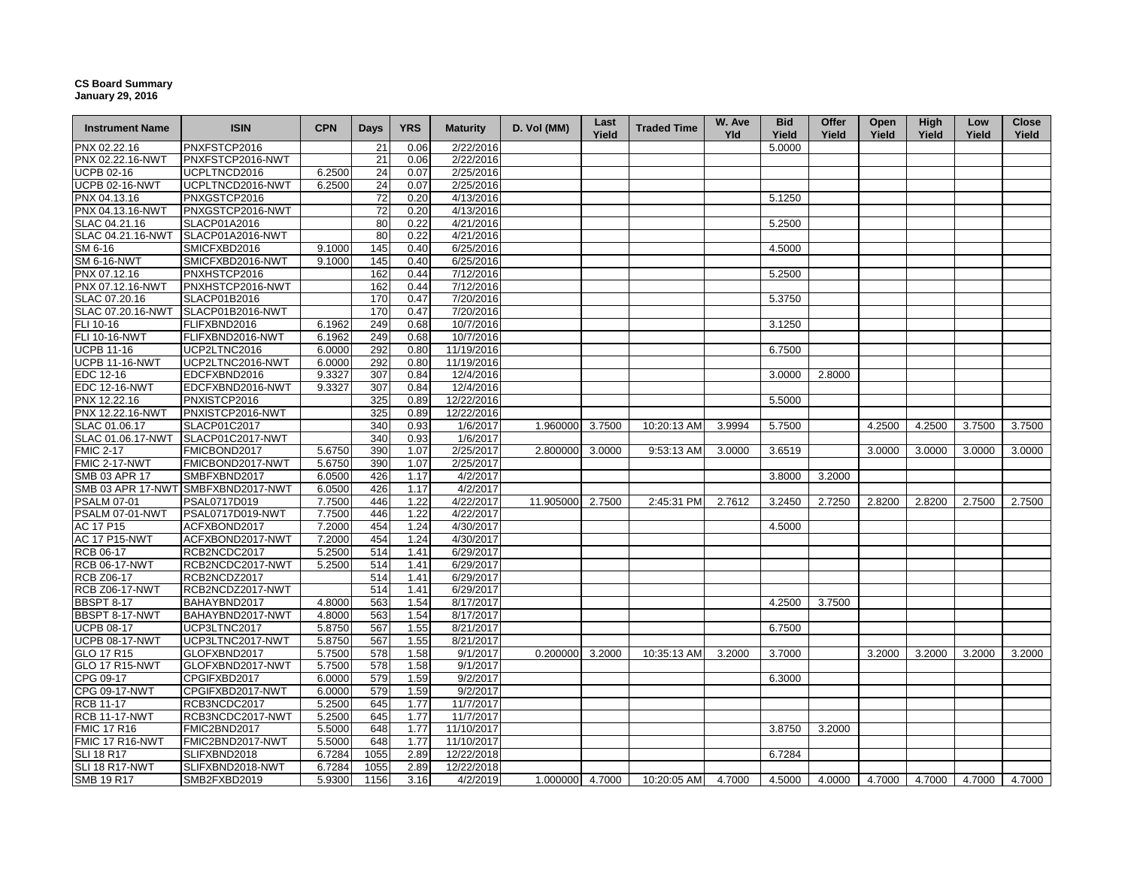## **CS Board Summary January 29, 2016**

| <b>Instrument Name</b> | <b>ISIN</b>                        | <b>CPN</b> | <b>Days</b> | <b>YRS</b> | <b>Maturity</b> | D. Vol (MM)      | Last<br>Yield | <b>Traded Time</b> | W. Ave<br><b>Yld</b> | <b>Bid</b><br>Yield | Offer<br>Yield | Open<br>Yield | High<br>Yield | Low<br>Yield | <b>Close</b><br>Yield |
|------------------------|------------------------------------|------------|-------------|------------|-----------------|------------------|---------------|--------------------|----------------------|---------------------|----------------|---------------|---------------|--------------|-----------------------|
| PNX 02.22.16           | PNXFSTCP2016                       |            | 21          | 0.06       | 2/22/2016       |                  |               |                    |                      | 5.0000              |                |               |               |              |                       |
| PNX 02.22.16-NWT       | PNXFSTCP2016-NWT                   |            | 21          | 0.06       | 2/22/2016       |                  |               |                    |                      |                     |                |               |               |              |                       |
| <b>UCPB 02-16</b>      | UCPLTNCD2016                       | 6.2500     | 24          | 0.07       | 2/25/2016       |                  |               |                    |                      |                     |                |               |               |              |                       |
| <b>UCPB 02-16-NWT</b>  | UCPLTNCD2016-NWT                   | 6.2500     | 24          | 0.07       | 2/25/2016       |                  |               |                    |                      |                     |                |               |               |              |                       |
| PNX 04.13.16           | PNXGSTCP2016                       |            | 72          | 0.20       | 4/13/2016       |                  |               |                    |                      | 5.1250              |                |               |               |              |                       |
| PNX 04.13.16-NWT       | PNXGSTCP2016-NWT                   |            | 72          | 0.20       | 4/13/2016       |                  |               |                    |                      |                     |                |               |               |              |                       |
| SLAC 04.21.16          | SLACP01A2016                       |            | 80          | 0.22       | 4/21/2016       |                  |               |                    |                      | 5.2500              |                |               |               |              |                       |
| SLAC 04.21.16-NWT      | SLACP01A2016-NWT                   |            | 80          | 0.22       | 4/21/2016       |                  |               |                    |                      |                     |                |               |               |              |                       |
| SM 6-16                | SMICFXBD2016                       | 9.1000     | 145         | 0.40       | 6/25/2016       |                  |               |                    |                      | 4.5000              |                |               |               |              |                       |
| <b>SM 6-16-NWT</b>     | SMICFXBD2016-NWT                   | 9.1000     | 145         | 0.40       | 6/25/2016       |                  |               |                    |                      |                     |                |               |               |              |                       |
| PNX 07.12.16           | PNXHSTCP2016                       |            | 162         | 0.44       | 7/12/2016       |                  |               |                    |                      | 5.2500              |                |               |               |              |                       |
| PNX 07.12.16-NWT       | PNXHSTCP2016-NWT                   |            | 162         | 0.44       | 7/12/2016       |                  |               |                    |                      |                     |                |               |               |              |                       |
| SLAC 07.20.16          | SLACP01B2016                       |            | 170         | 0.47       | 7/20/2016       |                  |               |                    |                      | 5.3750              |                |               |               |              |                       |
| SLAC 07.20.16-NWT      | SLACP01B2016-NWT                   |            | 170         | 0.47       | 7/20/2016       |                  |               |                    |                      |                     |                |               |               |              |                       |
| FLI 10-16              | FLIFXBND2016                       | 6.1962     | 249         | 0.68       | 10/7/2016       |                  |               |                    |                      | 3.1250              |                |               |               |              |                       |
| <b>FLI 10-16-NWT</b>   | FLIFXBND2016-NWT                   | 6.1962     | 249         | 0.68       | 10/7/2016       |                  |               |                    |                      |                     |                |               |               |              |                       |
| <b>UCPB 11-16</b>      | UCP2LTNC2016                       | 6.0000     | 292         | 0.80       | 11/19/2016      |                  |               |                    |                      | 6.7500              |                |               |               |              |                       |
| <b>UCPB 11-16-NWT</b>  | UCP2LTNC2016-NWT                   | 6.0000     | 292         | 0.80       | 11/19/2016      |                  |               |                    |                      |                     |                |               |               |              |                       |
| EDC 12-16              | EDCFXBND2016                       | 9.3327     | 307         | 0.84       | 12/4/2016       |                  |               |                    |                      | 3.0000              | 2.8000         |               |               |              |                       |
| <b>EDC 12-16-NWT</b>   | EDCFXBND2016-NWT                   | 9.3327     | 307         | 0.84       | 12/4/2016       |                  |               |                    |                      |                     |                |               |               |              |                       |
| PNX 12.22.16           | PNXISTCP2016                       |            | 325         | 0.89       | 12/22/2016      |                  |               |                    |                      | 5.5000              |                |               |               |              |                       |
| PNX 12.22.16-NWT       | PNXISTCP2016-NWT                   |            | 325         | 0.89       | 12/22/2016      |                  |               |                    |                      |                     |                |               |               |              |                       |
| SLAC 01.06.17          | SLACP01C2017                       |            | 340         | 0.93       | 1/6/2017        | 1.960000         | 3.7500        | 10:20:13 AM        | 3.9994               | 5.7500              |                | 4.2500        | 4.2500        | 3.7500       | 3.7500                |
| SLAC 01.06.17-NWT      | SLACP01C2017-NWT                   |            | 340         | 0.93       | 1/6/2017        |                  |               |                    |                      |                     |                |               |               |              |                       |
| <b>FMIC 2-17</b>       | FMICBOND2017                       | 5.6750     | 390         | 1.07       | 2/25/2017       | 2.800000         | 3.0000        | 9:53:13 AM         | 3.0000               | 3.6519              |                | 3.0000        | 3.0000        | 3.0000       | 3.0000                |
| <b>FMIC 2-17-NWT</b>   | FMICBOND2017-NWT                   | 5.6750     | 390         | 1.07       | 2/25/2017       |                  |               |                    |                      |                     |                |               |               |              |                       |
| <b>SMB 03 APR 17</b>   | SMBFXBND2017                       | 6.0500     | 426         | 1.17       | 4/2/2017        |                  |               |                    |                      | 3.8000              | 3.2000         |               |               |              |                       |
|                        | SMB 03 APR 17-NWT SMBFXBND2017-NWT | 6.0500     | 426         | 1.17       | 4/2/2017        |                  |               |                    |                      |                     |                |               |               |              |                       |
| <b>PSALM 07-01</b>     | PSAL0717D019                       | 7.7500     | 446         | 1.22       | 4/22/2017       | 11.905000 2.7500 |               | 2:45:31 PM         | 2.7612               | 3.2450              | 2.7250         | 2.8200        | 2.8200        | 2.7500       | 2.7500                |
| PSALM 07-01-NWT        | PSAL0717D019-NWT                   | 7.7500     | 446         | 1.22       | 4/22/2017       |                  |               |                    |                      |                     |                |               |               |              |                       |
| AC 17 P15              | ACFXBOND2017                       | 7.2000     | 454         | 1.24       | 4/30/2017       |                  |               |                    |                      | 4.5000              |                |               |               |              |                       |
| <b>AC 17 P15-NWT</b>   | ACFXBOND2017-NWT                   | 7.2000     | 454         | 1.24       | 4/30/2017       |                  |               |                    |                      |                     |                |               |               |              |                       |
| RCB 06-17              | RCB2NCDC2017                       | 5.2500     | 514         | 1.41       | 6/29/2017       |                  |               |                    |                      |                     |                |               |               |              |                       |
| <b>RCB 06-17-NWT</b>   | RCB2NCDC2017-NWT                   | 5.2500     | 514         | 1.41       | 6/29/2017       |                  |               |                    |                      |                     |                |               |               |              |                       |
| <b>RCB Z06-17</b>      | RCB2NCDZ2017                       |            | 514         | 1.41       | 6/29/2017       |                  |               |                    |                      |                     |                |               |               |              |                       |
| <b>RCB Z06-17-NWT</b>  | RCB2NCDZ2017-NWT                   |            | 514         | 1.41       | 6/29/2017       |                  |               |                    |                      |                     |                |               |               |              |                       |
| BBSPT 8-17             | BAHAYBND2017                       | 4.8000     | 563         | 1.54       | 8/17/2017       |                  |               |                    |                      | 4.2500              | 3.7500         |               |               |              |                       |
| BBSPT 8-17-NWT         | BAHAYBND2017-NWT                   | 4.8000     | 563         | 1.54       | 8/17/2017       |                  |               |                    |                      |                     |                |               |               |              |                       |
| <b>UCPB 08-17</b>      | UCP3LTNC2017                       | 5.8750     | 567         | 1.55       | 8/21/2017       |                  |               |                    |                      | 6.7500              |                |               |               |              |                       |
| <b>UCPB 08-17-NWT</b>  | UCP3LTNC2017-NWT                   | 5.8750     | 567         | 1.55       | 8/21/2017       |                  |               |                    |                      |                     |                |               |               |              |                       |
| GLO 17 R15             | GLOFXBND2017                       | 5.7500     | 578         | 1.58       | 9/1/2017        | 0.200000 3.2000  |               | 10:35:13 AM        | 3.2000               | 3.7000              |                | 3.2000        | 3.2000        | 3.2000       | 3.2000                |
| <b>GLO 17 R15-NWT</b>  | GLOFXBND2017-NWT                   | 5.7500     | 578         | 1.58       | 9/1/2017        |                  |               |                    |                      |                     |                |               |               |              |                       |
| CPG 09-17              | CPGIFXBD2017                       | 6.0000     | 579         | 1.59       | 9/2/2017        |                  |               |                    |                      | 6.3000              |                |               |               |              |                       |
| CPG 09-17-NWT          | CPGIFXBD2017-NWT                   | 6.0000     | 579         | 1.59       | 9/2/2017        |                  |               |                    |                      |                     |                |               |               |              |                       |
| <b>RCB 11-17</b>       | RCB3NCDC2017                       | 5.2500     | 645         | 1.77       | 11/7/2017       |                  |               |                    |                      |                     |                |               |               |              |                       |
| <b>RCB 11-17-NWT</b>   | RCB3NCDC2017-NWT                   | 5.2500     | 645         | 1.77       | 11/7/2017       |                  |               |                    |                      |                     |                |               |               |              |                       |
| <b>FMIC 17 R16</b>     | FMIC2BND2017                       | 5.5000     | 648         | 1.77       | 11/10/2017      |                  |               |                    |                      | 3.8750              | 3.2000         |               |               |              |                       |
| FMIC 17 R16-NWT        | FMIC2BND2017-NWT                   | 5.5000     | 648         | 1.77       | 11/10/2017      |                  |               |                    |                      |                     |                |               |               |              |                       |
| <b>SLI 18 R17</b>      | SLIFXBND2018                       | 6.7284     | 1055        | 2.89       | 12/22/2018      |                  |               |                    |                      | 6.7284              |                |               |               |              |                       |
| SLI 18 R17-NWT         | SLIFXBND2018-NWT                   | 6.7284     | 1055        | 2.89       | 12/22/2018      |                  |               |                    |                      |                     |                |               |               |              |                       |
| <b>SMB 19 R17</b>      | SMB2FXBD2019                       | 5.9300     | 1156        | 3.16       | 4/2/2019        | 1.000000 4.7000  |               | 10:20:05 AM        | 4.7000               | 4.5000              | 4.0000         | 4.7000        | 4.7000        | 4.7000       | 4.7000                |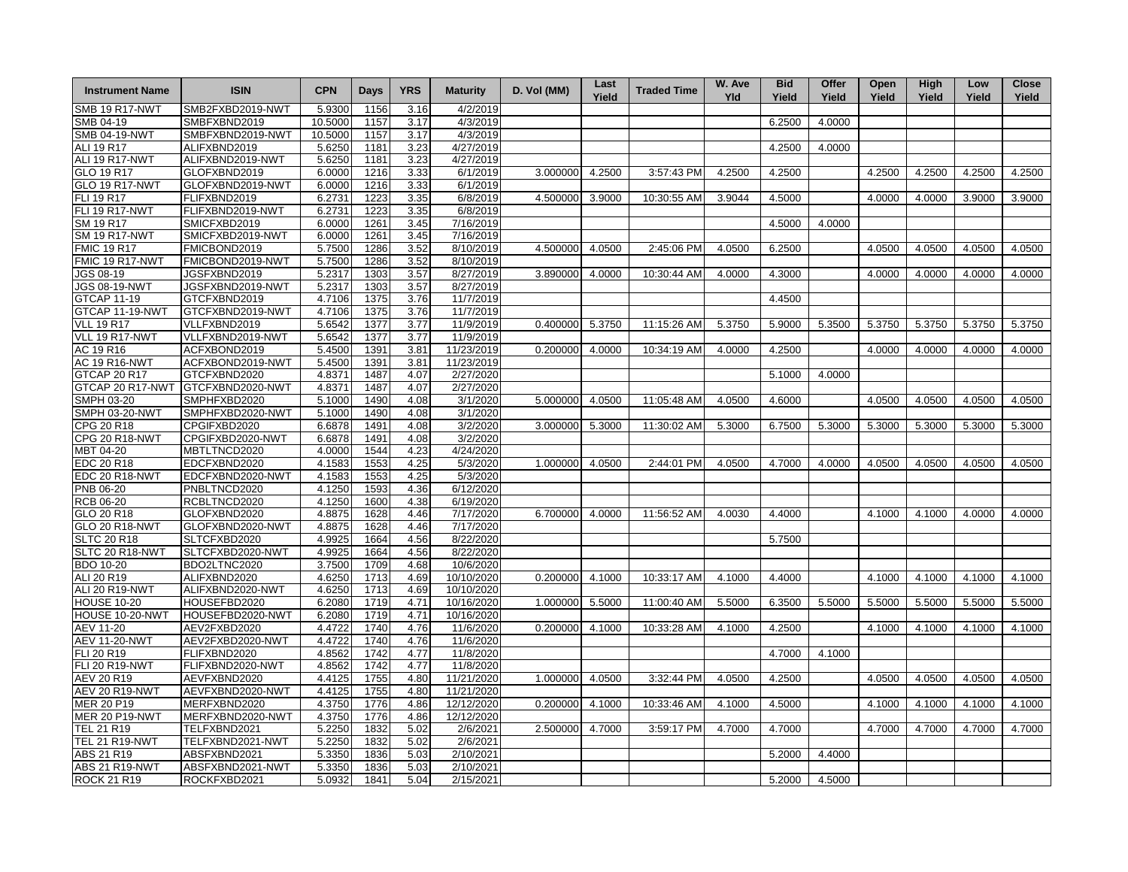| <b>Instrument Name</b> | <b>ISIN</b>      | <b>CPN</b> | Days | <b>YRS</b> | <b>Maturity</b> | D. Vol (MM) | Last<br>Yield | <b>Traded Time</b> | W. Ave<br>Yld | <b>Bid</b><br>Yield | Offer<br>Yield | Open<br>Yield | High<br>Yield | Low<br>Yield | <b>Close</b><br>Yield |
|------------------------|------------------|------------|------|------------|-----------------|-------------|---------------|--------------------|---------------|---------------------|----------------|---------------|---------------|--------------|-----------------------|
| <b>SMB 19 R17-NWT</b>  | SMB2FXBD2019-NWT | 5.9300     | 1156 | 3.16       | 4/2/2019        |             |               |                    |               |                     |                |               |               |              |                       |
| SMB 04-19              | SMBFXBND2019     | 10.5000    | 1157 | 3.17       | 4/3/2019        |             |               |                    |               | 6.2500              | 4.0000         |               |               |              |                       |
| <b>SMB 04-19-NWT</b>   | SMBFXBND2019-NWT | 10.5000    | 1157 | 3.17       | 4/3/2019        |             |               |                    |               |                     |                |               |               |              |                       |
| ALI 19 R17             | ALIFXBND2019     | 5.6250     | 1181 | 3.23       | 4/27/2019       |             |               |                    |               | 4.2500              | 4.0000         |               |               |              |                       |
| ALI 19 R17-NWT         | ALIFXBND2019-NWT | 5.6250     | 1181 | 3.23       | 4/27/2019       |             |               |                    |               |                     |                |               |               |              |                       |
| GLO 19 R17             | GLOFXBND2019     | 6.0000     | 1216 | 3.33       | 6/1/2019        | 3.000000    | 4.2500        | 3:57:43 PM         | 4.2500        | 4.2500              |                | 4.2500        | 4.2500        | 4.2500       | 4.2500                |
| <b>GLO 19 R17-NWT</b>  | GLOFXBND2019-NWT | 6.0000     | 1216 | 3.33       | 6/1/2019        |             |               |                    |               |                     |                |               |               |              |                       |
| FLI 19 R17             | FLIFXBND2019     | 6.2731     | 1223 | 3.35       | 6/8/2019        | 4.500000    | 3.9000        | 10:30:55 AM        | 3.9044        | 4.5000              |                | 4.0000        | 4.0000        | 3.9000       | 3.9000                |
| <b>FLI 19 R17-NWT</b>  | FLIFXBND2019-NWT | 6.2731     | 1223 | 3.35       | 6/8/2019        |             |               |                    |               |                     |                |               |               |              |                       |
| SM 19 R17              | SMICFXBD2019     | 6.0000     | 1261 | 3.45       | 7/16/2019       |             |               |                    |               | 4.5000              | 4.0000         |               |               |              |                       |
| <b>SM 19 R17-NWT</b>   | SMICFXBD2019-NWT | 6.0000     | 1261 | 3.45       | 7/16/2019       |             |               |                    |               |                     |                |               |               |              |                       |
| <b>FMIC 19 R17</b>     | FMICBOND2019     | 5.7500     | 1286 | 3.52       | 8/10/2019       | 4.500000    | 4.0500        | 2:45:06 PM         | 4.0500        | 6.2500              |                | 4.0500        | 4.0500        | 4.0500       | 4.0500                |
| FMIC 19 R17-NWT        | FMICBOND2019-NWT | 5.7500     | 1286 | 3.52       | 8/10/2019       |             |               |                    |               |                     |                |               |               |              |                       |
| JGS 08-19              | JGSFXBND2019     | 5.2317     | 1303 | 3.57       | 8/27/2019       | 3.890000    | 4.0000        | 10:30:44 AM        | 4.0000        | 4.3000              |                | 4.0000        | 4.0000        | 4.0000       | 4.0000                |
| JGS 08-19-NWT          | JGSFXBND2019-NWT | 5.2317     | 1303 | 3.57       | 8/27/2019       |             |               |                    |               |                     |                |               |               |              |                       |
| <b>GTCAP 11-19</b>     | GTCFXBND2019     | 4.7106     | 1375 | 3.76       | 11/7/2019       |             |               |                    |               | 4.4500              |                |               |               |              |                       |
| GTCAP 11-19-NWT        | GTCFXBND2019-NWT | 4.7106     | 1375 | 3.76       | 11/7/2019       |             |               |                    |               |                     |                |               |               |              |                       |
| <b>VLL 19 R17</b>      | VLLFXBND2019     | 5.6542     | 1377 | 3.77       | 11/9/2019       | 0.400000    | 5.3750        | 11:15:26 AM        | 5.3750        | 5.9000              | 5.3500         | 5.3750        | 5.3750        | 5.3750       | 5.3750                |
| <b>VLL 19 R17-NWT</b>  | VLLFXBND2019-NWT | 5.6542     | 1377 | 3.77       | 11/9/2019       |             |               |                    |               |                     |                |               |               |              |                       |
| AC 19 R16              | ACFXBOND2019     | 5.4500     | 1391 | 3.81       | 11/23/2019      | 0.200000    | 4.0000        | 10:34:19 AM        | 4.0000        | 4.2500              |                | 4.0000        | 4.0000        | 4.0000       | 4.0000                |
| <b>AC 19 R16-NWT</b>   | ACFXBOND2019-NWT | 5.4500     | 1391 | 3.81       | 11/23/2019      |             |               |                    |               |                     |                |               |               |              |                       |
| <b>GTCAP 20 R17</b>    | GTCFXBND2020     | 4.8371     | 1487 | 4.07       | 2/27/2020       |             |               |                    |               | 5.1000              | 4.0000         |               |               |              |                       |
| GTCAP 20 R17-NWT       | GTCFXBND2020-NWT | 4.8371     | 1487 | 4.07       | 2/27/2020       |             |               |                    |               |                     |                |               |               |              |                       |
| SMPH 03-20             | SMPHFXBD2020     | 5.1000     | 1490 | 4.08       | 3/1/2020        | 5.000000    | 4.0500        | 11:05:48 AM        | 4.0500        | 4.6000              |                | 4.0500        | 4.0500        | 4.0500       | 4.0500                |
| <b>SMPH 03-20-NWT</b>  | SMPHFXBD2020-NWT | 5.1000     | 1490 | 4.08       | 3/1/2020        |             |               |                    |               |                     |                |               |               |              |                       |
| CPG 20 R18             | CPGIFXBD2020     | 6.6878     | 1491 | 4.08       | 3/2/2020        | 3.000000    | 5.3000        | 11:30:02 AM        | 5.3000        | 6.7500              | 5.3000         | 5.3000        | 5.3000        | 5.3000       | 5.3000                |
| <b>CPG 20 R18-NWT</b>  | CPGIFXBD2020-NWT | 6.6878     | 1491 | 4.08       | 3/2/2020        |             |               |                    |               |                     |                |               |               |              |                       |
| MBT 04-20              | MBTLTNCD2020     | 4.0000     | 1544 | 4.23       | 4/24/2020       |             |               |                    |               |                     |                |               |               |              |                       |
| EDC 20 R18             | EDCFXBND2020     | 4.1583     | 1553 | 4.25       | 5/3/2020        | 1.000000    | 4.0500        | 2:44:01 PM         | 4.0500        | 4.7000              | 4.0000         | 4.0500        | 4.0500        | 4.0500       | 4.0500                |
| EDC 20 R18-NWT         | EDCFXBND2020-NWT | 4.1583     | 1553 | 4.25       | 5/3/2020        |             |               |                    |               |                     |                |               |               |              |                       |
| PNB 06-20              | PNBLTNCD2020     | 4.1250     | 1593 | 4.36       | 6/12/2020       |             |               |                    |               |                     |                |               |               |              |                       |
| <b>RCB 06-20</b>       | RCBLTNCD2020     | 4.1250     | 1600 | 4.38       | 6/19/2020       |             |               |                    |               |                     |                |               |               |              |                       |
| GLO 20 R18             | GLOFXBND2020     | 4.8875     | 1628 | 4.46       | 7/17/2020       | 6.700000    | 4.0000        | 11:56:52 AM        | 4.0030        | 4.4000              |                | 4.1000        | 4.1000        | 4.0000       | 4.0000                |
| <b>GLO 20 R18-NWT</b>  | GLOFXBND2020-NWT | 4.8875     | 1628 | 4.46       | 7/17/2020       |             |               |                    |               |                     |                |               |               |              |                       |
| <b>SLTC 20 R18</b>     | SLTCFXBD2020     | 4.9925     | 1664 | 4.56       | 8/22/2020       |             |               |                    |               | 5.7500              |                |               |               |              |                       |
| SLTC 20 R18-NWT        | SLTCFXBD2020-NWT | 4.9925     | 1664 | 4.56       | 8/22/2020       |             |               |                    |               |                     |                |               |               |              |                       |
| <b>BDO 10-20</b>       | BDO2LTNC2020     | 3.7500     | 1709 | 4.68       | 10/6/2020       |             |               |                    |               |                     |                |               |               |              |                       |
| ALI 20 R19             | ALIFXBND2020     | 4.6250     | 1713 | 4.69       | 10/10/2020      | 0.200000    | 4.1000        | 10:33:17 AM        | 4.1000        | 4.4000              |                | 4.1000        | 4.1000        | 4.1000       | 4.1000                |
| <b>ALI 20 R19-NWT</b>  | ALIFXBND2020-NWT | 4.6250     | 1713 | 4.69       | 10/10/2020      |             |               |                    |               |                     |                |               |               |              |                       |
| <b>HOUSE 10-20</b>     | HOUSEFBD2020     | 6.2080     | 1719 | 4.71       | 10/16/2020      | 1.000000    | 5.5000        | 11:00:40 AM        | 5.5000        | 6.3500              | 5.5000         | 5.5000        | 5.5000        | 5.5000       | 5.5000                |
| <b>HOUSE 10-20-NWT</b> | HOUSEFBD2020-NWT | 6.2080     | 1719 | 4.71       | 10/16/2020      |             |               |                    |               |                     |                |               |               |              |                       |
| AEV 11-20              | AEV2FXBD2020     | 4.4722     | 1740 | 4.76       | 11/6/2020       | 0.200000    | 4.1000        | 10:33:28 AM        | 4.1000        | 4.2500              |                | 4.1000        | 4.1000        | 4.1000       | 4.1000                |
| <b>AEV 11-20-NWT</b>   | AEV2FXBD2020-NWT | 4.4722     | 1740 | 4.76       | 11/6/2020       |             |               |                    |               |                     |                |               |               |              |                       |
| FLI 20 R19             | FLIFXBND2020     | 4.8562     | 1742 | 4.77       | 11/8/2020       |             |               |                    |               | 4.7000              | 4.1000         |               |               |              |                       |
| FLI 20 R19-NWT         | FLIFXBND2020-NWT | 4.8562     | 1742 | 4.77       | 11/8/2020       |             |               |                    |               |                     |                |               |               |              |                       |
| AEV 20 R19             | AEVFXBND2020     | 4.4125     | 1755 | 4.80       | 11/21/2020      | 1.000000    | 4.0500        | 3:32:44 PM         | 4.0500        | 4.2500              |                | 4.0500        | 4.0500        | 4.0500       | 4.0500                |
| <b>AEV 20 R19-NWT</b>  | AEVFXBND2020-NWT | 4.4125     | 1755 | 4.80       | 11/21/2020      |             |               |                    |               |                     |                |               |               |              |                       |
| <b>MER 20 P19</b>      | MERFXBND2020     | 4.3750     | 1776 | 4.86       | 12/12/2020      | 0.200000    | 4.1000        | 10:33:46 AM        | 4.1000        | 4.5000              |                | 4.1000        | 4.1000        | 4.1000       | 4.1000                |
| <b>MER 20 P19-NWT</b>  | MERFXBND2020-NWT | 4.3750     | 1776 | 4.86       | 12/12/2020      |             |               |                    |               |                     |                |               |               |              |                       |
| TEL 21 R19             | TELFXBND2021     | 5.2250     | 1832 | 5.02       | 2/6/2021        | 2.500000    | 4.7000        | 3:59:17 PM         | 4.7000        | 4.7000              |                | 4.7000        | 4.7000        | 4.7000       | 4.7000                |
| <b>TEL 21 R19-NWT</b>  | TELFXBND2021-NWT | 5.2250     | 1832 | 5.02       | 2/6/2021        |             |               |                    |               |                     |                |               |               |              |                       |
| ABS 21 R19             | ABSFXBND2021     | 5.3350     | 1836 | 5.03       | 2/10/2021       |             |               |                    |               | 5.2000              | 4.4000         |               |               |              |                       |
| <b>ABS 21 R19-NWT</b>  | ABSFXBND2021-NWT | 5.3350     | 1836 | 5.03       | 2/10/2021       |             |               |                    |               |                     |                |               |               |              |                       |
| ROCK 21 R19            | ROCKFXBD2021     | 5.0932     | 1841 | 5.04       | 2/15/2021       |             |               |                    |               | 5.2000              | 4.5000         |               |               |              |                       |
|                        |                  |            |      |            |                 |             |               |                    |               |                     |                |               |               |              |                       |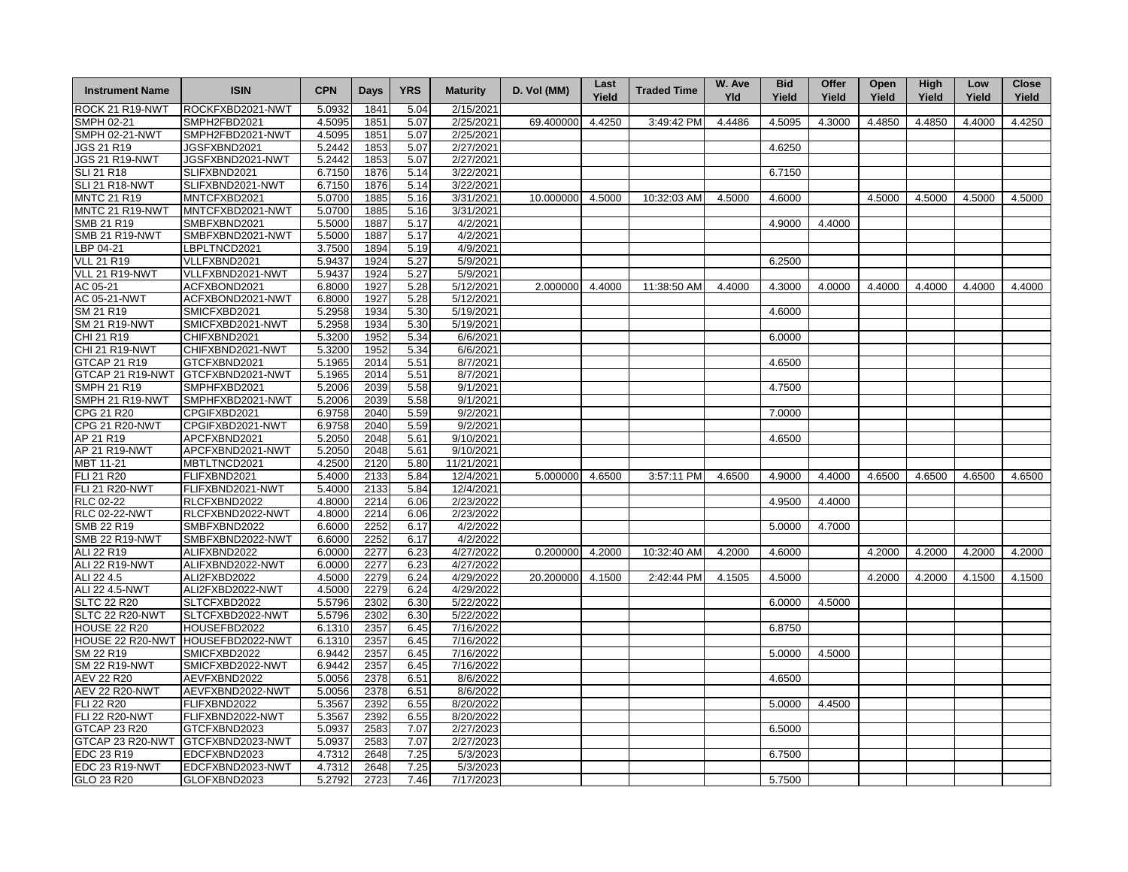| <b>Instrument Name</b> | <b>ISIN</b>      | <b>CPN</b>          | <b>Days</b> | <b>YRS</b> | <b>Maturity</b> | D. Vol (MM)      | Last<br>Yield | <b>Traded Time</b> | W. Ave<br>Yld | <b>Bid</b><br>Yield | Offer<br>Yield | Open<br>Yield | High<br>Yield | Low<br>Yield | <b>Close</b><br>Yield |
|------------------------|------------------|---------------------|-------------|------------|-----------------|------------------|---------------|--------------------|---------------|---------------------|----------------|---------------|---------------|--------------|-----------------------|
| ROCK 21 R19-NWT        | ROCKFXBD2021-NWT | 5.0932              | 1841        | 5.04       | 2/15/2021       |                  |               |                    |               |                     |                |               |               |              |                       |
| SMPH 02-21             | SMPH2FBD2021     | 4.5095              | 1851        | 5.07       | 2/25/2021       | 69.400000        | 4.4250        | 3:49:42 PM         | 4.4486        | 4.5095              | 4.3000         | 4.4850        | 4.4850        | 4.4000       | 4.4250                |
| <b>SMPH 02-21-NWT</b>  | SMPH2FBD2021-NWT | 4.5095              | 1851        | 5.07       | 2/25/2021       |                  |               |                    |               |                     |                |               |               |              |                       |
| JGS 21 R19             | JGSFXBND2021     | 5.2442              | 1853        | 5.07       | 2/27/2021       |                  |               |                    |               | 4.6250              |                |               |               |              |                       |
| <b>JGS 21 R19-NWT</b>  | JGSFXBND2021-NWT | 5.2442              | 1853        | 5.07       | 2/27/2021       |                  |               |                    |               |                     |                |               |               |              |                       |
| <b>SLI 21 R18</b>      | SLIFXBND2021     | 6.7150              | 1876        | 5.14       | 3/22/2021       |                  |               |                    |               | 6.7150              |                |               |               |              |                       |
| <b>SLI 21 R18-NWT</b>  | SLIFXBND2021-NWT | 6.7150              | 1876        | 5.14       | 3/22/2021       |                  |               |                    |               |                     |                |               |               |              |                       |
| <b>MNTC 21 R19</b>     | MNTCFXBD2021     | 5.0700              | 1885        | 5.16       | 3/31/2021       | 10.000000 4.5000 |               | 10:32:03 AM        | 4.5000        | 4.6000              |                | 4.5000        | 4.5000        | 4.5000       | 4.5000                |
| MNTC 21 R19-NWT        | MNTCFXBD2021-NWT | 5.0700              | 1885        | 5.16       | 3/31/2021       |                  |               |                    |               |                     |                |               |               |              |                       |
| SMB 21 R19             | SMBFXBND2021     | 5.5000              | 1887        | 5.17       | 4/2/2021        |                  |               |                    |               | 4.9000              | 4.4000         |               |               |              |                       |
| <b>SMB 21 R19-NWT</b>  | SMBFXBND2021-NWT | 5.5000              | 1887        | 5.17       | 4/2/2021        |                  |               |                    |               |                     |                |               |               |              |                       |
| BP 04-21               | LBPLTNCD2021     | 3.7500              | 1894        | 5.19       | 4/9/2021        |                  |               |                    |               |                     |                |               |               |              |                       |
| VLL 21 R19             | VLLFXBND2021     | 5.9437              | 1924        | 5.27       | 5/9/2021        |                  |               |                    |               | 6.2500              |                |               |               |              |                       |
| VLL 21 R19-NWT         | VLLFXBND2021-NWT | 5.9437              | 1924        | 5.27       | 5/9/2021        |                  |               |                    |               |                     |                |               |               |              |                       |
| AC 05-21               | ACFXBOND2021     | 6.8000              | 1927        | 5.28       | 5/12/2021       | 2.000000 4.4000  |               | 11:38:50 AM        | 4.4000        | 4.3000              | 4.0000         | 4.4000        | 4.4000        | 4.4000       | 4.4000                |
| AC 05-21-NWT           | ACFXBOND2021-NWT | 6.8000              | 1927        | 5.28       | 5/12/2021       |                  |               |                    |               |                     |                |               |               |              |                       |
| SM 21 R19              | SMICFXBD2021     | 5.2958              | 1934        | 5.30       | 5/19/2021       |                  |               |                    |               | 4.6000              |                |               |               |              |                       |
| <b>SM 21 R19-NWT</b>   | SMICFXBD2021-NWT | 5.2958              | 1934        | 5.30       | 5/19/2021       |                  |               |                    |               |                     |                |               |               |              |                       |
| CHI 21 R19             | CHIFXBND2021     | 5.3200              | 1952        | 5.34       | 6/6/2021        |                  |               |                    |               | 6.0000              |                |               |               |              |                       |
| <b>CHI 21 R19-NWT</b>  |                  | 5.3200              | 1952        | 5.34       | 6/6/2021        |                  |               |                    |               |                     |                |               |               |              |                       |
|                        | CHIFXBND2021-NWT |                     |             |            |                 |                  |               |                    |               | 4.6500              |                |               |               |              |                       |
| GTCAP 21 R19           | GTCFXBND2021     | 5.1965              | 2014        | 5.51       | 8/7/2021        |                  |               |                    |               |                     |                |               |               |              |                       |
| GTCAP 21 R19-NWT       | GTCFXBND2021-NWT | 5.1965              | 2014        | 5.51       | 8/7/2021        |                  |               |                    |               |                     |                |               |               |              |                       |
| <b>SMPH 21 R19</b>     | SMPHFXBD2021     | 5.2006              | 2039        | 5.58       | 9/1/2021        |                  |               |                    |               | 4.7500              |                |               |               |              |                       |
| SMPH 21 R19-NWT        | SMPHFXBD2021-NWT | 5.2006              | 2039        | 5.58       | 9/1/2021        |                  |               |                    |               |                     |                |               |               |              |                       |
| CPG 21 R20             | CPGIFXBD2021     | $6.\overline{9758}$ | 2040        | 5.59       | 9/2/2021        |                  |               |                    |               | 7.0000              |                |               |               |              |                       |
| <b>CPG 21 R20-NWT</b>  | CPGIFXBD2021-NWT | 6.9758              | 2040        | 5.59       | 9/2/2021        |                  |               |                    |               |                     |                |               |               |              |                       |
| AP 21 R19              | APCFXBND2021     | 5.2050              | 2048        | 5.61       | 9/10/2021       |                  |               |                    |               | 4.6500              |                |               |               |              |                       |
| AP 21 R19-NWT          | APCFXBND2021-NWT | 5.2050              | 2048        | 5.61       | 9/10/2021       |                  |               |                    |               |                     |                |               |               |              |                       |
| MBT 11-21              | MBTLTNCD2021     | 4.2500              | 2120        | 5.80       | 11/21/2021      |                  |               |                    |               |                     |                |               |               |              |                       |
| FLI 21 R20             | FLIFXBND2021     | 5.4000              | 2133        | 5.84       | 12/4/2021       | 5.000000 4.6500  |               | 3:57:11 PM         | 4.6500        | 4.9000              | 4.4000         | 4.6500        | 4.6500        | 4.6500       | 4.6500                |
| <b>FLI 21 R20-NWT</b>  | FLIFXBND2021-NWT | 5.4000              | 2133        | 5.84       | 12/4/2021       |                  |               |                    |               |                     |                |               |               |              |                       |
| RLC 02-22              | RLCFXBND2022     | 4.8000              | 2214        | 6.06       | 2/23/2022       |                  |               |                    |               | 4.9500              | 4.4000         |               |               |              |                       |
| <b>RLC 02-22-NWT</b>   | RLCFXBND2022-NWT | 4.8000              | 2214        | 6.06       | 2/23/2022       |                  |               |                    |               |                     |                |               |               |              |                       |
| SMB 22 R19             | SMBFXBND2022     | 6.6000              | 2252        | 6.17       | 4/2/2022        |                  |               |                    |               | 5.0000              | 4.7000         |               |               |              |                       |
| <b>SMB 22 R19-NWT</b>  | SMBFXBND2022-NWT | 6.6000              | 2252        | 6.17       | 4/2/2022        |                  |               |                    |               |                     |                |               |               |              |                       |
| ALI 22 R19             | ALIFXBND2022     | 6.0000              | 2277        | 6.23       | 4/27/2022       | 0.200000 4.2000  |               | 10:32:40 AM        | 4.2000        | 4.6000              |                | 4.2000        | 4.2000        | 4.2000       | 4.2000                |
| <b>ALI 22 R19-NWT</b>  | ALIFXBND2022-NWT | 6.0000              | 2277        | 6.23       | 4/27/2022       |                  |               |                    |               |                     |                |               |               |              |                       |
| ALI 22 4.5             | ALI2FXBD2022     | 4.5000              | 2279        | 6.24       | 4/29/2022       | 20.200000 4.1500 |               | 2:42:44 PM         | 4.1505        | 4.5000              |                | 4.2000        | 4.2000        | 4.1500       | 4.1500                |
| ALI 22 4.5-NWT         | ALI2FXBD2022-NWT | 4.5000              | 2279        | 6.24       | 4/29/2022       |                  |               |                    |               |                     |                |               |               |              |                       |
| <b>SLTC 22 R20</b>     | SLTCFXBD2022     | 5.5796              | 2302        | 6.30       | 5/22/2022       |                  |               |                    |               | 6.0000              | 4.5000         |               |               |              |                       |
| SLTC 22 R20-NWT        | SLTCFXBD2022-NWT | 5.5796              | 2302        | 6.30       | 5/22/2022       |                  |               |                    |               |                     |                |               |               |              |                       |
| <b>HOUSE 22 R20</b>    | HOUSEFBD2022     | 6.1310              | 2357        | 6.45       | 7/16/2022       |                  |               |                    |               | 6.8750              |                |               |               |              |                       |
| HOUSE 22 R20-NWT       | HOUSEFBD2022-NWT | 6.1310              | 2357        | 6.45       | 7/16/2022       |                  |               |                    |               |                     |                |               |               |              |                       |
| SM 22 R19              | SMICFXBD2022     | 6.9442              | 2357        | 6.45       | 7/16/2022       |                  |               |                    |               | 5.0000              | 4.5000         |               |               |              |                       |
| <b>SM 22 R19-NWT</b>   | SMICFXBD2022-NWT | 6.9442              | 2357        | 6.45       | 7/16/2022       |                  |               |                    |               |                     |                |               |               |              |                       |
| AEV 22 R20             | AEVFXBND2022     | 5.0056              | 2378        | 6.51       | 8/6/2022        |                  |               |                    |               | 4.6500              |                |               |               |              |                       |
| <b>AEV 22 R20-NWT</b>  | AEVFXBND2022-NWT | 5.0056              | 2378        | 6.51       | 8/6/2022        |                  |               |                    |               |                     |                |               |               |              |                       |
| FLI 22 R20             | FLIFXBND2022     | 5.3567              | 2392        | 6.55       | 8/20/2022       |                  |               |                    |               | 5.0000              | 4.4500         |               |               |              |                       |
| <b>FLI 22 R20-NWT</b>  | FLIFXBND2022-NWT | 5.3567              | 2392        | 6.55       | 8/20/2022       |                  |               |                    |               |                     |                |               |               |              |                       |
| GTCAP 23 R20           | GTCFXBND2023     | 5.0937              | 2583        | 7.07       | 2/27/2023       |                  |               |                    |               | 6.5000              |                |               |               |              |                       |
| GTCAP 23 R20-NWT       | GTCFXBND2023-NWT | 5.0937              | 2583        | 7.07       | 2/27/2023       |                  |               |                    |               |                     |                |               |               |              |                       |
| EDC 23 R19             | EDCFXBND2023     | 4.7312              | 2648        | 7.25       | 5/3/2023        |                  |               |                    |               | 6.7500              |                |               |               |              |                       |
| <b>EDC 23 R19-NWT</b>  | EDCFXBND2023-NWT | 4.7312              | 2648        | 7.25       | 5/3/2023        |                  |               |                    |               |                     |                |               |               |              |                       |
| GLO 23 R20             | GLOFXBND2023     | 5.2792              | 2723        | 7.46       | 7/17/2023       |                  |               |                    |               | 5.7500              |                |               |               |              |                       |